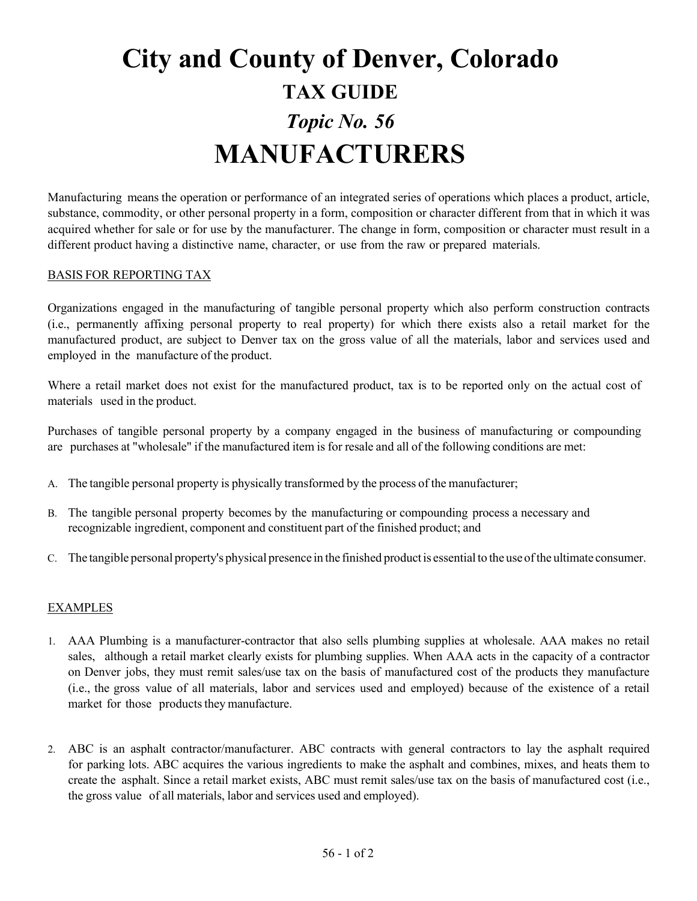## **City and County of Denver, Colorado TAX GUIDE** *Topic No. 56* **MANUFACTURERS**

Manufacturing means the operation or performance of an integrated series of operations which places a product, article, substance, commodity, or other personal property in a form, composition or character different from that in which it was acquired whether for sale or for use by the manufacturer. The change in form, composition or character must result in a different product having a distinctive name, character, or use from the raw or prepared materials.

## BASIS FOR REPORTING TAX

Organizations engaged in the manufacturing of tangible personal property which also perform construction contracts (i.e., permanently affixing personal property to real property) for which there exists also a retail market for the manufactured product, are subject to Denver tax on the gross value of all the materials, labor and services used and employed in the manufacture of the product.

Where a retail market does not exist for the manufactured product, tax is to be reported only on the actual cost of materials used in the product.

Purchases of tangible personal property by a company engaged in the business of manufacturing or compounding are purchases at "wholesale" if the manufactured item is for resale and all of the following conditions are met:

- A. The tangible personal property is physically transformed by the process of the manufacturer;
- B. The tangible personal property becomes by the manufacturing or compounding process a necessary and recognizable ingredient, component and constituent part of the finished product; and
- C. The tangible personal property's physical presence in the finished productis essentialto the useofthe ultimate consumer.

## EXAMPLES

- 1. AAA Plumbing is a manufacturer-contractor that also sells plumbing supplies at wholesale. AAA makes no retail sales, although a retail market clearly exists for plumbing supplies. When AAA acts in the capacity of a contractor on Denver jobs, they must remit sales/use tax on the basis of manufactured cost of the products they manufacture (i.e., the gross value of all materials, labor and services used and employed) because of the existence of a retail market for those products they manufacture.
- 2. ABC is an asphalt contractor/manufacturer. ABC contracts with general contractors to lay the asphalt required for parking lots. ABC acquires the various ingredients to make the asphalt and combines, mixes, and heats them to create the asphalt. Since a retail market exists, ABC must remit sales/use tax on the basis of manufactured cost (i.e., the gross value of all materials, labor and services used and employed).